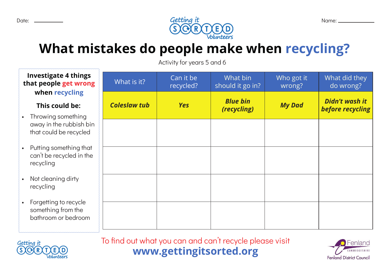

## **What mistakes do people make when recycling?**

Activity for years 5 and 6

| <b>Investigate 4 things</b><br>that people get wrong<br>when recycling       | What is it?         | Can it be<br>recycled? | What bin<br>should it go in?   | Who got it<br>wrong? | What did they<br>do wrong?         |
|------------------------------------------------------------------------------|---------------------|------------------------|--------------------------------|----------------------|------------------------------------|
| This could be:<br>• Throwing something                                       | <b>Coleslaw tub</b> | <b>Yes</b>             | <b>Blue bin</b><br>(recycling) | <b>My Dad</b>        | Didn't wash it<br>before recycling |
| away in the rubbish bin<br>that could be recycled                            |                     |                        |                                |                      |                                    |
| Putting something that<br>$\bullet$<br>can't be recycled in the<br>recycling |                     |                        |                                |                      |                                    |
| Not cleaning dirty<br>$\bullet$<br>recycling                                 |                     |                        |                                |                      |                                    |
| • Forgetting to recycle<br>something from the<br>bathroom or bedroom         |                     |                        |                                |                      |                                    |



**www.gettingitsorted.org** To find out what you can and can't recycle please visit

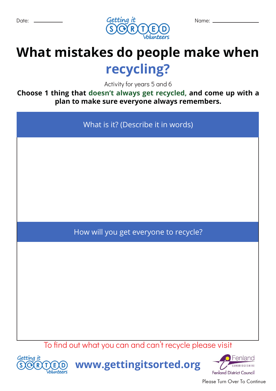

# **What mistakes do people make when recycling?**

Activity for years 5 and 6

**Choose 1 thing that doesn't always get recycled, and come up with a plan to make sure everyone always remembers.**

What is it? (Describe it in words) How will you get everyone to recycle?

To find out what you can and can't recycle please visit



**www.gettingitsorted.org**



Please Turn Over To Continue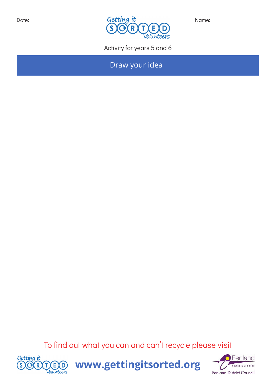

Activity for years 5 and 6

Draw your idea

To find out what you can and can't recycle please visit



**www.gettingitsorted.org**

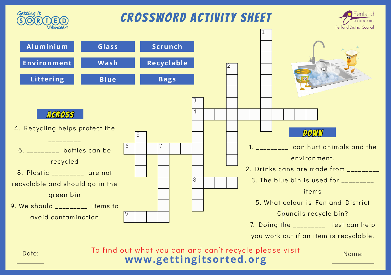

**www.gettingitsorted.org**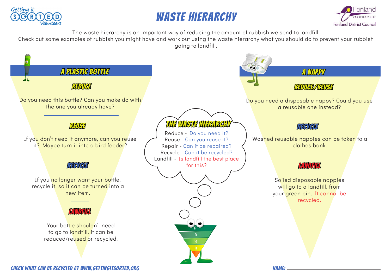

### Waste Hierarchy



The waste hierarchy is an important way of reducing the amount of rubbish we send to landfill.

Check out some examples of rubbish you might have and work out using the waste hierarchy what you should do to prevent your rubbish going to landfill.

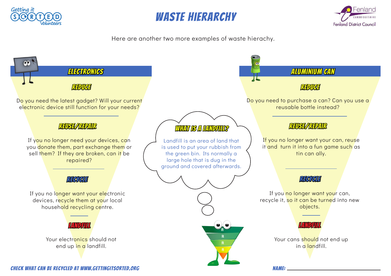

#### Waste Hierarchy



Here are another two more examples of waste hierachy.

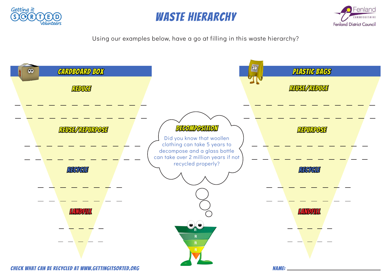





Using our examples below, have a go at filling in this waste hierarchy?

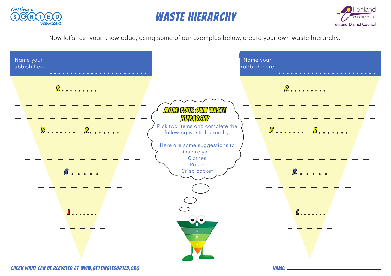

#### Waste Hierarchy



Now let's test your knowledge, using some of our examples below, create your own waste hierarchy.

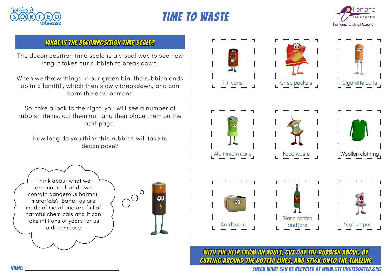





#### WHAT IS THE DECOMPOSITION TIME SCALE?

The decomposition time scale is a visual way to see how long it takes our rubbish to break down.

When we throw things in our green bin, the rubbish ends up in a landfill, which then slowly breakdown, and can harm the environment.

So, take a look to the right, you will see a number of rubbish items, cut them out, and then place them on the next page.

How long do you think this rubbish will take to decompose?



With the help from an adult, cut out the rubbish above, by cutting around the dotted lines, And Stick onto the timeline

Think about what we are made of, or do we contain dangerous harmful materials? Batteries are made of metal and are full of harmful chemicals and it can

take millions of years for us to decompose.

 $\circ$ 00